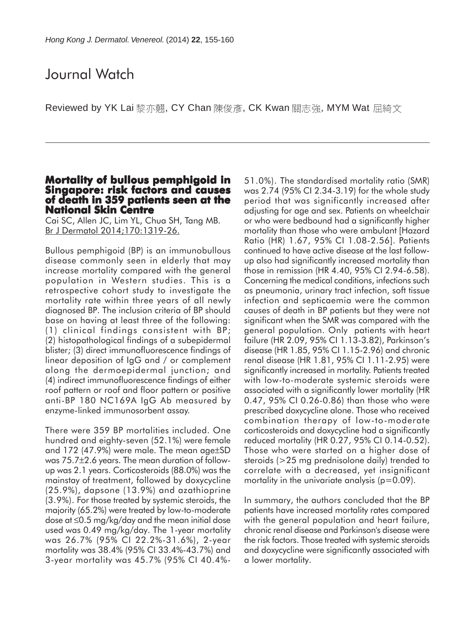## Journal Watch

Reviewed by YK Lai 黎亦翹, CY Chan 陳俊彥, CK Kwan 關志強, MYM Wat 屈綺文

#### **Mortality of bullous pemphigoid in Singapore: risk factors and causes of death in 359 patients seen at the National Skin Centre**

Cai SC, Allen JC, Lim YL, Chua SH, Tang MB. Br J Dermatol 2014;170:1319-26.

Bullous pemphigoid (BP) is an immunobullous disease commonly seen in elderly that may increase mortality compared with the general population in Western studies. This is a retrospective cohort study to investigate the mortality rate within three years of all newly diagnosed BP. The inclusion criteria of BP should base on having at least three of the following: (1) clinical findings consistent with BP; (2) histopathological findings of a subepidermal blister; (3) direct immunofluorescence findings of linear deposition of IgG and / or complement along the dermoepidermal junction; and (4) indirect immunofluorescence findings of either roof pattern or roof and floor pattern or positive anti-BP 180 NC169A IgG Ab measured by enzyme-linked immunosorbent assay.

There were 359 BP mortalities included. One hundred and eighty-seven (52.1%) were female and 172 (47.9%) were male. The mean age±SD was 75.7±2.6 years. The mean duration of followup was 2.1 years. Corticosteroids (88.0%) was the mainstay of treatment, followed by doxycycline (25.9%), dapsone (13.9%) and azathioprine (3.9%). For those treated by systemic steroids, the majority (65.2%) were treated by low-to-moderate dose at ≤0.5 mg/kg/day and the mean initial dose used was 0.49 mg/kg/day. The 1-year mortality was 26.7% (95% CI 22.2%-31.6%), 2-year mortality was 38.4% (95% CI 33.4%-43.7%) and 3-year mortality was 45.7% (95% CI 40.4%-

51.0%). The standardised mortality ratio (SMR) was 2.74 (95% CI 2.34-3.19) for the whole study period that was significantly increased after adjusting for age and sex. Patients on wheelchair or who were bedbound had a significantly higher mortality than those who were ambulant [Hazard Ratio (HR) 1.67, 95% CI 1.08-2.56]. Patients continued to have active disease at the last followup also had significantly increased mortality than those in remission (HR 4.40, 95% CI 2.94-6.58). Concerning the medical conditions, infections such as pneumonia, urinary tract infection, soft tissue infection and septicaemia were the common causes of death in BP patients but they were not significant when the SMR was compared with the general population. Only patients with heart failure (HR 2.09, 95% CI 1.13-3.82), Parkinson's disease (HR 1.85, 95% CI 1.15-2.96) and chronic renal disease (HR 1.81, 95% CI 1.11-2.95) were significantly increased in mortality. Patients treated with low-to-moderate systemic steroids were associated with a significantly lower mortality (HR 0.47, 95% CI 0.26-0.86) than those who were prescribed doxycycline alone. Those who received combination therapy of low-to-moderate corticosteroids and doxycycline had a significantly reduced mortality (HR 0.27, 95% CI 0.14-0.52). Those who were started on a higher dose of steroids (>25 mg prednisolone daily) trended to correlate with a decreased, yet insignificant mortality in the univariate analysis ( $p=0.09$ ).

In summary, the authors concluded that the BP patients have increased mortality rates compared with the general population and heart failure, chronic renal disease and Parkinson's disease were the risk factors. Those treated with systemic steroids and doxycycline were significantly associated with a lower mortality.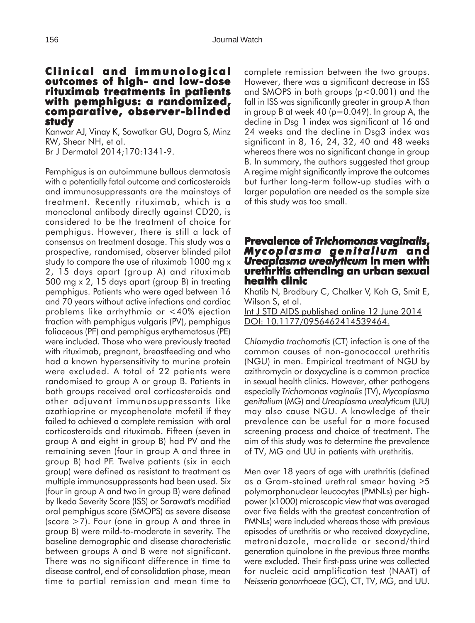#### **Clinical and immunological Clinical and outcomes of high- and low-dose rituximab treatments in patients with pemphigus: a randomized, pemphigus: a randomized, comparative, observer-blinded study**

Kanwar AJ, Vinay K, Sawatkar GU, Dogra S, Minz RW, Shear NH, et al. Br J Dermatol 2014;170:1341-9.

Pemphigus is an autoimmune bullous dermatosis with a potentially fatal outcome and corticosteroids and immunosuppressants are the mainstays of treatment. Recently rituximab, which is a monoclonal antibody directly against CD20, is considered to be the treatment of choice for pemphigus. However, there is still a lack of consensus on treatment dosage. This study was a prospective, randomised, observer blinded pilot study to compare the use of rituximab 1000 mg x 2, 15 days apart (group A) and rituximab 500 mg x 2, 15 days apart (group B) in treating pemphigus. Patients who were aged between 16 and 70 years without active infections and cardiac problems like arrhythmia or <40% ejection fraction with pemphigus vulgaris (PV), pemphigus foliaceous (PF) and pemphigus erythematosus (PE) were included. Those who were previously treated with rituximab, pregnant, breastfeeding and who had a known hypersensitivity to murine protein were excluded. A total of 22 patients were randomised to group A or group B. Patients in both groups received oral corticosteroids and other adjuvant immunosuppressants like azathioprine or mycophenolate mofetil if they failed to achieved a complete remission with oral corticosteroids and rituximab. Fifteen (seven in group A and eight in group B) had PV and the remaining seven (four in group A and three in group B) had PF. Twelve patients (six in each group) were defined as resistant to treatment as multiple immunosuppressants had been used. Six (four in group A and two in group B) were defined by Ikeda Severity Score (ISS) or Sarawat's modified oral pemphigus score (SMOPS) as severe disease (score >7). Four (one in group A and three in group B) were mild-to-moderate in severity. The baseline demographic and disease characteristic between groups A and B were not significant. There was no significant difference in time to disease control, end of consolidation phase, mean time to partial remission and mean time to

complete remission between the two groups. However, there was a significant decrease in ISS and SMOPS in both groups (p<0.001) and the fall in ISS was significantly greater in group A than in group B at week 40 ( $p=0.049$ ). In group A, the decline in Dsg 1 index was significant at 16 and 24 weeks and the decline in Dsg3 index was significant in 8, 16, 24, 32, 40 and 48 weeks whereas there was no significant change in group B. In summary, the authors suggested that group A regime might significantly improve the outcomes but further long-term follow-up studies with a larger population are needed as the sample size of this study was too small.

## **Prevalence of of** *Trichomonas vaginalis***,** *Mycoplasma genitalium* **and** *Ureaplasma urealyticum* **in men with urethritis attending an urban sexual health clinic**

Khatib N, Bradbury C, Chalker V, Koh G, Smit E, Wilson S, et al. Int J STD AIDS published online 12 June 2014

DOI: 10.1177/0956462414539464.

*Chlamydia trachomatis* (CT) infection is one of the common causes of non-gonococcal urethritis (NGU) in men. Empirical treatment of NGU by azithromycin or doxycycline is a common practice in sexual health clinics. However, other pathogens especially *Trichomonas vaginalis* (TV), *Mycoplasma genitalium* (MG) and *Ureaplasma urealyticum* (UU) may also cause NGU. A knowledge of their prevalence can be useful for a more focused screening process and choice of treatment. The aim of this study was to determine the prevalence of TV, MG and UU in patients with urethritis.

Men over 18 years of age with urethritis (defined as a Gram-stained urethral smear having ≥5 polymorphonuclear leucocytes (PMNLs) per highpower (x1000) microscopic view that was averaged over five fields with the greatest concentration of PMNLs) were included whereas those with previous episodes of urethritis or who received doxycycline, metronidazole, macrolide or second/third generation quinolone in the previous three months were excluded. Their first-pass urine was collected for nucleic acid amplification test (NAAT) of *Neisseria gonorrhoeae* (GC), CT, TV, MG, and UU.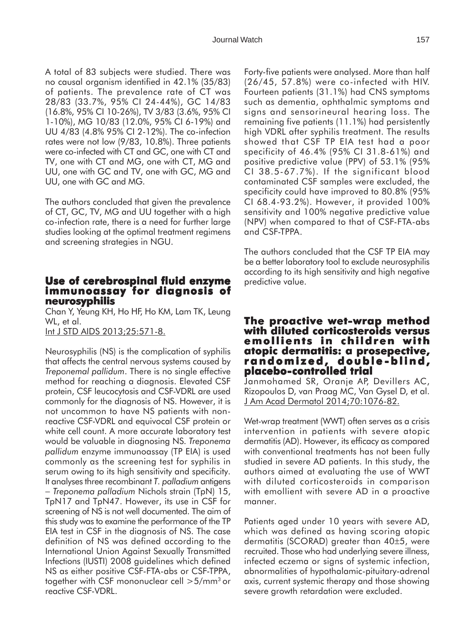A total of 83 subjects were studied. There was no causal organism identified in 42.1% (35/83) of patients. The prevalence rate of CT was 28/83 (33.7%, 95% CI 24-44%), GC 14/83 (16.8%, 95% CI 10-26%), TV 3/83 (3.6%, 95% CI 1-10%), MG 10/83 (12.0%, 95% CI 6-19%) and UU 4/83 (4.8% 95% CI 2-12%). The co-infection rates were not low (9/83, 10.8%). Three patients were co-infected with CT and GC, one with CT and TV, one with CT and MG, one with CT, MG and UU, one with GC and TV, one with GC, MG and UU, one with GC and MG.

The authors concluded that given the prevalence of CT, GC, TV, MG and UU together with a high co-infection rate, there is a need for further large studies looking at the optimal treatment regimens and screening strategies in NGU.

## **Use of cerebrospinal fluid enzyme immunoassay for diagnosis of immunoassay of neurosyphilis**

Chan Y, Yeung KH, Ho HF, Ho KM, Lam TK, Leung WL, et al.

Int J STD AIDS 2013;25:571-8.

Neurosyphilis (NS) is the complication of syphilis that affects the central nervous systems caused by *Treponemal pallidum*. There is no single effective method for reaching a diagnosis. Elevated CSF protein, CSF leucocytosis and CSF-VDRL are used commonly for the diagnosis of NS. However, it is not uncommon to have NS patients with nonreactive CSF-VDRL and equivocal CSF protein or white cell count. A more accurate laboratory test would be valuable in diagnosing NS. *Treponema pallidum* enzyme immunoassay (TP EIA) is used commonly as the screening test for syphilis in serum owing to its high sensitivity and specificity. It analyses three recombinant *T. palladium* antigens − *Treponema palladium* Nichols strain (TpN) 15, TpN17 and TpN47. However, its use in CSF for screening of NS is not well documented. The aim of this study was to examine the performance of the TP EIA test in CSF in the diagnosis of NS. The case definition of NS was defined according to the International Union Against Sexually Transmitted Infections (IUSTI) 2008 guidelines which defined NS as either positive CSF-FTA-abs or CSF-TPPA, together with CSF mononuclear cell >5/mm3 or reactive CSF-VDRL.

Forty-five patients were analysed. More than half (26/45, 57.8%) were co-infected with HIV. Fourteen patients (31.1%) had CNS symptoms such as dementia, ophthalmic symptoms and signs and sensorineural hearing loss. The remaining five patients (11.1%) had persistently high VDRL after syphilis treatment. The results showed that CSF TP EIA test had a poor specificity of 46.4% (95% CI 31.8-61%) and positive predictive value (PPV) of 53.1% (95% CI 38.5-67.7%). If the significant blood contaminated CSF samples were excluded, the specificity could have improved to 80.8% (95% CI 68.4-93.2%). However, it provided 100% sensitivity and 100% negative predictive value (NPV) when compared to that of CSF-FTA-abs and CSF-TPPA.

The authors concluded that the CSF TP EIA may be a better laboratory tool to exclude neurosyphilis according to its high sensitivity and high negative predictive value.

## **The proactive wet proactive wet-wrap method with diluted corticosteroids versus emollients in children with atopic dermatitis: a prosepective, atopic dermatitis: prosepective, randomized, double -blind, -blind, placebo-controlled trial controlled**

Janmohamed SR, Oranje AP, Devillers AC, Rizopoulos D, van Praag MC, Van Gysel D, et al. J Am Acad Dermatol 2014;70:1076-82.

Wet-wrap treatment (WWT) often serves as a crisis intervention in patients with severe atopic dermatitis (AD). However, its efficacy as compared with conventional treatments has not been fully studied in severe AD patients. In this study, the authors aimed at evaluating the use of WWT with diluted corticosteroids in comparison with emollient with severe AD in a proactive manner.

Patients aged under 10 years with severe AD, which was defined as having scoring atopic dermatitis (SCORAD) greater than 40±5, were recruited. Those who had underlying severe illness, infected eczema or signs of systemic infection, abnormalities of hypothalamic-pituitary-adrenal axis, current systemic therapy and those showing severe growth retardation were excluded.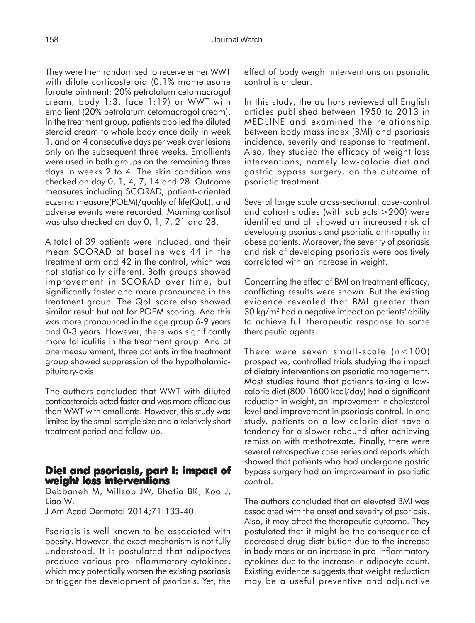They were then randomised to receive either WWT with dilute corticosteroid (0.1% mometasone furoate ointment: 20% petrolatum cetomacrogol cream, body 1:3, face 1:19) or WWT with emollient (20% petrolatum cetomacrogol cream). In the treatment group, patients applied the diluted steroid cream to whole body once daily in week 1, and on 4 consecutive days per week over lesions only on the subsequent three weeks. Emollients were used in both groups on the remaining three days in weeks 2 to 4. The skin condition was checked on day 0, 1, 4, 7, 14 and 28. Outcome measures including SCORAD, patient-oriented eczema measure(POEM)/quality of life(QoL), and adverse events were recorded. Morning cortisol was also checked on day 0, 1, 7, 21 and 28.

A total of 39 patients were included, and their mean SCORAD at baseline was 44 in the treatment arm and 42 in the control, which was not statistically different. Both groups showed improvement in SCORAD over time, but significantly faster and more pronounced in the treatment group. The QoL score also showed similar result but not for POEM scoring. And this was more pronounced in the age group 6-9 years and 0-3 years. However, there was significantly more folliculitis in the treatment group. And at one measurement, three patients in the treatment group showed suppression of the hypothalamicpituitary-axis.

The authors concluded that WWT with diluted conticosteroids acted faster and was more efficacious than WWT with emollients. However, this study was limited by the small sample size and a relatively short treatment period and follow-up.

### **Diet and psoriasis, part I: impact of and psoriasis, part impact of weight loss interventions**

Debbaneh M, Millsop JW, Bhatia BK, Koo J, Liao W.

J Am Acad Dermatol 2014;71:133-40.

Psoriasis is well known to be associated with obesity. However, the exact mechanism is not fully understood. It is postulated that adipoctyes produce various pro-inflammatory cytokines, which may potentially worsen the existing psoriasis or trigger the development of psoriasis. Yet, the effect of body weight interventions on psoriatic control is unclear.

In this study, the authors reviewed all English articles published between 1950 to 2013 in MEDLINE and examined the relationship between body mass index (BMI) and psoriasis incidence, severity and response to treatment. Also, they studied the efficacy of weight loss interventions, namely low-calorie diet and gastric bypass surgery, on the outcome of psoriatic treatment.

Several large scale cross-sectional, case-control and cohort studies (with subjects >200) were identified and all showed an increased risk of developing psoriasis and psoriatic arthropathy in obese patients. Moreover, the severity of psoriasis and risk of developing psoriasis were positively correlated with an increase in weight.

Concerning the effect of BMI on treatment efficacy, conflicting results were shown. But the existing evidence revealed that BMI greater than 30 kg/m2 had a negative impact on patients' ability to achieve full therapeutic response to some therapeutic agents.

There were seven small-scale (n<100) prospective, controlled trials studying the impact of dietary interventions on psoriatic management. Most studies found that patients taking a lowcalorie diet (800-1600 kcal/day) had a significant reduction in weight, an improvement in cholesterol level and improvement in psoriasis control. In one study, patients on a low-calorie diet have a tendency for a slower rebound after achieving remission with methotrexate. Finally, there were several retrospective case series and reports which showed that patients who had undergone gastric bypass surgery had an improvement in psoriatic control.

The authors concluded that an elevated BMI was associated with the onset and severity of psoriasis. Also, it may affect the therapeutic outcome. They postulated that it might be the consequence of decreased drug distribution due to the increase in body mass or an increase in pro-inflammatory cytokines due to the increase in adipocyte count. Existing evidence suggests that weight reduction may be a useful preventive and adjunctive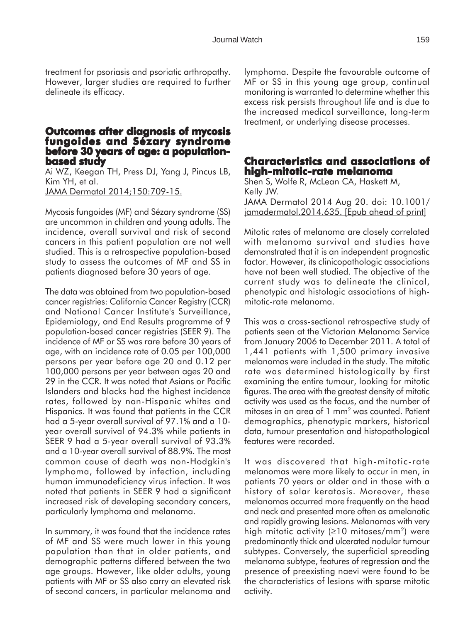treatment for psoriasis and psoriatic arthropathy. However, larger studies are required to further delineate its efficacy.

## **Outcomes after diagnosis of mycosis fungoides and Sézary syndrome before 30 years of age: a populationbased study**

Ai WZ, Keegan TH, Press DJ, Yang J, Pincus LB, Kim YH, et al. JAMA Dermatol 2014;150:709-15.

Mycosis fungoides (MF) and Sézary syndrome (SS) are uncommon in children and young adults. The incidence, overall survival and risk of second cancers in this patient population are not well studied. This is a retrospective population-based study to assess the outcomes of MF and SS in patients diagnosed before 30 years of age.

The data was obtained from two population-based cancer registries: California Cancer Registry (CCR) and National Cancer Institute's Surveillance, Epidemiology, and End Results programme of 9 population-based cancer registries (SEER 9). The incidence of MF or SS was rare before 30 years of age, with an incidence rate of 0.05 per 100,000 persons per year before age 20 and 0.12 per 100,000 persons per year between ages 20 and 29 in the CCR. It was noted that Asians or Pacific Islanders and blacks had the highest incidence rates, followed by non-Hispanic whites and Hispanics. It was found that patients in the CCR had a 5-year overall survival of 97.1% and a 10 year overall survival of 94.3% while patients in SEER 9 had a 5-year overall survival of 93.3% and a 10-year overall survival of 88.9%. The most common cause of death was non-Hodgkin's lymphoma, followed by infection, including human immunodeficiency virus infection. It was noted that patients in SEER 9 had a significant increased risk of developing secondary cancers, particularly lymphoma and melanoma.

In summary, it was found that the incidence rates of MF and SS were much lower in this young population than that in older patients, and demographic patterns differed between the two age groups. However, like older adults, young patients with MF or SS also carry an elevated risk of second cancers, in particular melanoma and

lymphoma. Despite the favourable outcome of MF or SS in this young age group, continual monitoring is warranted to determine whether this excess risk persists throughout life and is due to the increased medical surveillance, long-term treatment, or underlying disease processes.

## **Characteristics and associations of and associations of high-mitotic-rate melanoma**

Shen S, Wolfe R, McLean CA, Haskett M, Kelly JW. JAMA Dermatol 2014 Aug 20. doi: 10.1001/ jamadermatol.2014.635. [Epub ahead of print]

Mitotic rates of melanoma are closely correlated with melanoma survival and studies have demonstrated that it is an independent prognostic factor. However, its clinicopathologic associations have not been well studied. The objective of the current study was to delineate the clinical, phenotypic and histologic associations of highmitotic-rate melanoma.

This was a cross-sectional retrospective study of patients seen at the Victorian Melanoma Service from January 2006 to December 2011. A total of 1,441 patients with 1,500 primary invasive melanomas were included in the study. The mitotic rate was determined histologically by first examining the entire tumour, looking for mitotic figures. The area with the greatest density of mitotic activity was used as the focus, and the number of mitoses in an area of 1 mm2 was counted. Patient demographics, phenotypic markers, historical data, tumour presentation and histopathological features were recorded.

It was discovered that high-mitotic-rate melanomas were more likely to occur in men, in patients 70 years or older and in those with a history of solar keratosis. Moreover, these melanomas occurred more frequently on the head and neck and presented more often as amelanotic and rapidly growing lesions. Melanomas with very high mitotic activity ( $\geq$ 10 mitoses/mm<sup>2</sup>) were predominantly thick and ulcerated nodular tumour subtypes. Conversely, the superficial spreading melanoma subtype, features of regression and the presence of preexisting naevi were found to be the characteristics of lesions with sparse mitotic activity.